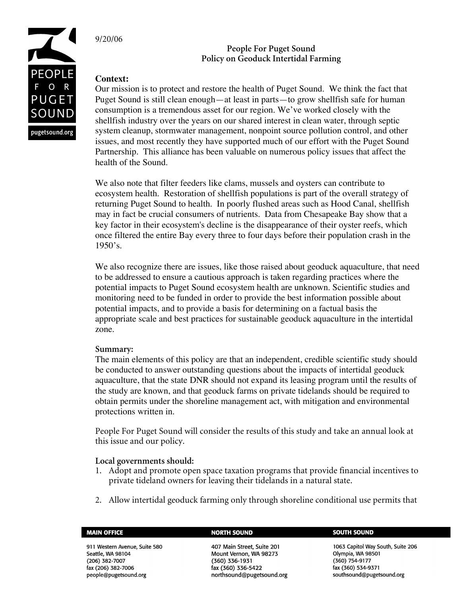

9/20/06

# **People For Puget Sound Policy on Geoduck Intertidal Farming**

## **Context:**

Our mission is to protect and restore the health of Puget Sound. We think the fact that Puget Sound is still clean enough—at least in parts—to grow shellfish safe for human consumption is a tremendous asset for our region. We've worked closely with the shellfish industry over the years on our shared interest in clean water, through septic system cleanup, stormwater management, nonpoint source pollution control, and other issues, and most recently they have supported much of our effort with the Puget Sound Partnership. This alliance has been valuable on numerous policy issues that affect the health of the Sound.

We also note that filter feeders like clams, mussels and oysters can contribute to ecosystem health. Restoration of shellfish populations is part of the overall strategy of returning Puget Sound to health. In poorly flushed areas such as Hood Canal, shellfish may in fact be crucial consumers of nutrients. Data from Chesapeake Bay show that a key factor in their ecosystem's decline is the disappearance of their oyster reefs, which once filtered the entire Bay every three to four days before their population crash in the 1950's.

We also recognize there are issues, like those raised about geoduck aquaculture, that need to be addressed to ensure a cautious approach is taken regarding practices where the potential impacts to Puget Sound ecosystem health are unknown. Scientific studies and monitoring need to be funded in order to provide the best information possible about potential impacts, and to provide a basis for determining on a factual basis the appropriate scale and best practices for sustainable geoduck aquaculture in the intertidal zone.

## **Summary:**

The main elements of this policy are that an independent, credible scientific study should be conducted to answer outstanding questions about the impacts of intertidal geoduck aquaculture, that the state DNR should not expand its leasing program until the results of the study are known, and that geoduck farms on private tidelands should be required to obtain permits under the shoreline management act, with mitigation and environmental protections written in.

People For Puget Sound will consider the results of this study and take an annual look at this issue and our policy.

## **Local governments should:**

- 1. Adopt and promote open space taxation programs that provide financial incentives to private tideland owners for leaving their tidelands in a natural state.
- 2. Allow intertidal geoduck farming only through shoreline conditional use permits that

| <b>MAIN OFFICE</b> |  |
|--------------------|--|

911 Western Avenue, Suite 580 Seattle, WA 98104 (206) 382-7007 fax (206) 382-7006 people@pugetsound.org

### **NORTH SOUND**

407 Main Street, Suite 201 Mount Vernon, WA 98273 (360) 336-1931 fax (360) 336-5422 northsound@pugetsound.org

### **SOUTH SOUND**

1063 Capitol Way South, Suite 206 Olympia, WA 98501 (360) 754-9177 fax (360) 534-9371 southsound@pugetsound.org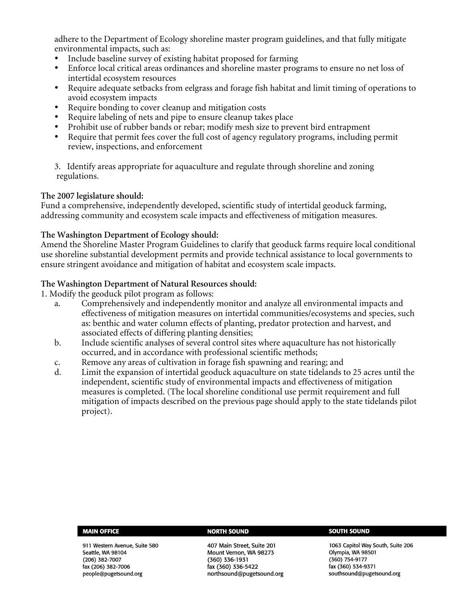adhere to the Department of Ecology shoreline master program guidelines, and that fully mitigate environmental impacts, such as:

- Include baseline survey of existing habitat proposed for farming
- Enforce local critical areas ordinances and shoreline master programs to ensure no net loss of intertidal ecosystem resources
- Require adequate setbacks from eelgrass and forage fish habitat and limit timing of operations to avoid ecosystem impacts
- Require bonding to cover cleanup and mitigation costs
- Require labeling of nets and pipe to ensure cleanup takes place
- Prohibit use of rubber bands or rebar; modify mesh size to prevent bird entrapment
- Require that permit fees cover the full cost of agency regulatory programs, including permit review, inspections, and enforcement

3. Identify areas appropriate for aquaculture and regulate through shoreline and zoning regulations.

## **The 2007 legislature should:**

Fund a comprehensive, independently developed, scientific study of intertidal geoduck farming, addressing community and ecosystem scale impacts and effectiveness of mitigation measures.

## **The Washington Department of Ecology should:**

Amend the Shoreline Master Program Guidelines to clarify that geoduck farms require local conditional use shoreline substantial development permits and provide technical assistance to local governments to ensure stringent avoidance and mitigation of habitat and ecosystem scale impacts.

## **The Washington Department of Natural Resources should:**

1. Modify the geoduck pilot program as follows:

- a. Comprehensively and independently monitor and analyze all environmental impacts and effectiveness of mitigation measures on intertidal communities/ecosystems and species, such as: benthic and water column effects of planting, predator protection and harvest, and associated effects of differing planting densities;
- b. Include scientific analyses of several control sites where aquaculture has not historically occurred, and in accordance with professional scientific methods;
- c. Remove any areas of cultivation in forage fish spawning and rearing; and
- d. Limit the expansion of intertidal geoduck aquaculture on state tidelands to 25 acres until the independent, scientific study of environmental impacts and effectiveness of mitigation measures is completed. (The local shoreline conditional use permit requirement and full mitigation of impacts described on the previous page should apply to the state tidelands pilot project).

### **MAIN OFFICE**

911 Western Avenue, Suite 580 Seattle, WA 98104 (206) 382-7007 fax (206) 382-7006 people@pugetsound.org

### **NORTH SOUND**

407 Main Street, Suite 201 Mount Vernon, WA 98273  $(360)$  336-1931 fax (360) 336-5422 northsound@pugetsound.org

### **SOUTH SOUND**

1063 Capitol Way South, Suite 206 Olympia, WA 98501 (360) 754-9177 fax (360) 534-9371 southsound@pugetsound.org